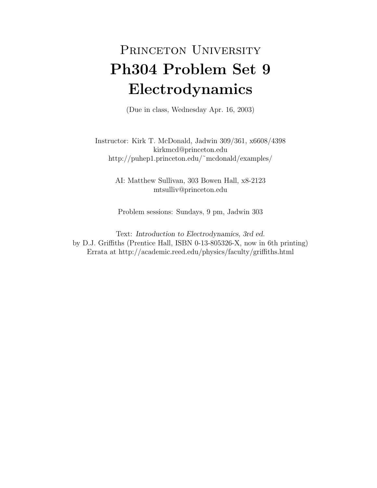## PRINCETON UNIVERSITY Ph304 Problem Set 9 Electrodynamics

(Due in class, Wednesday Apr. 16, 2003)

Instructor: Kirk T. McDonald, Jadwin 309/361, x6608/4398 kirkmcd@princeton.edu http://puhep1.princeton.edu/˜mcdonald/examples/

> AI: Matthew Sullivan, 303 Bowen Hall, x8-2123 mtsulliv@princeton.edu

Problem sessions: Sundays, 9 pm, Jadwin 303

Text: Introduction to Electrodynamics, 3rd ed. by D.J. Griffiths (Prentice Hall, ISBN 0-13-805326-X, now in 6th printing) Errata at http://academic.reed.edu/physics/faculty/griffiths.html